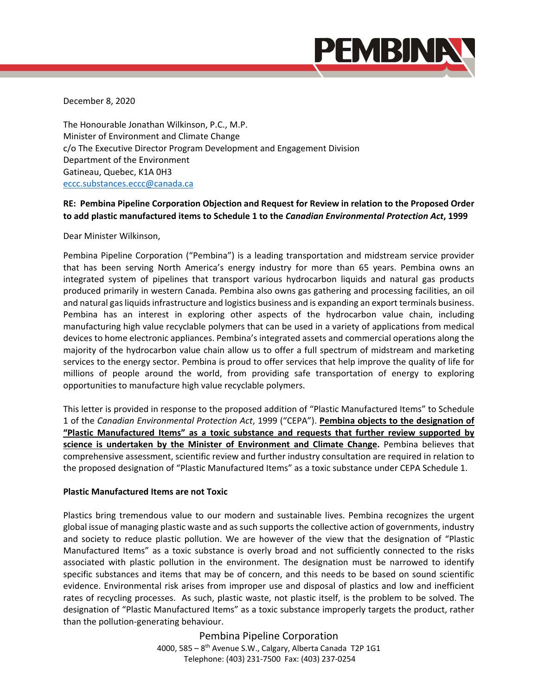

December 8, 2020

The Honourable Jonathan Wilkinson, P.C., M.P. Minister of Environment and Climate Change c/o The Executive Director Program Development and Engagement Division Department of the Environment Gatineau, Quebec, K1A 0H3 eccc.substances.eccc@canada.ca

## **RE: Pembina Pipeline Corporation Objection and Request for Review in relation to the Proposed Order to add plastic manufactured items to Schedule 1 to the** *Canadian Environmental Protection Act***, 1999**

Dear Minister Wilkinson,

Pembina Pipeline Corporation ("Pembina") is a leading transportation and midstream service provider that has been serving North America's energy industry for more than 65 years. Pembina owns an integrated system of pipelines that transport various hydrocarbon liquids and natural gas products produced primarily in western Canada. Pembina also owns gas gathering and processing facilities, an oil and natural gas liquids infrastructure and logistics business and is expanding an export terminals business. Pembina has an interest in exploring other aspects of the hydrocarbon value chain, including manufacturing high value recyclable polymers that can be used in a variety of applications from medical devices to home electronic appliances. Pembina's integrated assets and commercial operations along the majority of the hydrocarbon value chain allow us to offer a full spectrum of midstream and marketing services to the energy sector. Pembina is proud to offer services that help improve the quality of life for millions of people around the world, from providing safe transportation of energy to exploring opportunities to manufacture high value recyclable polymers.

This letter is provided in response to the proposed addition of "Plastic Manufactured Items" to Schedule 1 of the *Canadian Environmental Protection Act*, 1999 ("CEPA"). **Pembina objects to the designation of "Plastic Manufactured Items" as a toxic substance and requests that further review supported by science is undertaken by the Minister of Environment and Climate Change.**  Pembina believes that comprehensive assessment, scientific review and further industry consultation are required in relation to the proposed designation of "Plastic Manufactured Items" as a toxic substance under CEPA Schedule 1.

## **Plastic Manufactured Items are not Toxic**

Plastics bring tremendous value to our modern and sustainable lives. Pembina recognizes the urgent global issue of managing plastic waste and as such supports the collective action of governments, industry and society to reduce plastic pollution. We are however of the view that the designation of "Plastic Manufactured Items" as a toxic substance is overly broad and not sufficiently connected to the risks associated with plastic pollution in the environment. The designation must be narrowed to identify specific substances and items that may be of concern, and this needs to be based on sound scientific evidence. Environmental risk arises from improper use and disposal of plastics and low and inefficient rates of recycling processes. As such, plastic waste, not plastic itself, is the problem to be solved. The designation of "Plastic Manufactured Items" as a toxic substance improperly targets the product, rather than the pollution‐generating behaviour.

> Pembina Pipeline Corporation 4000, 585 – 8th Avenue S.W., Calgary, Alberta Canada T2P 1G1 Telephone: (403) 231‐7500 Fax: (403) 237‐0254